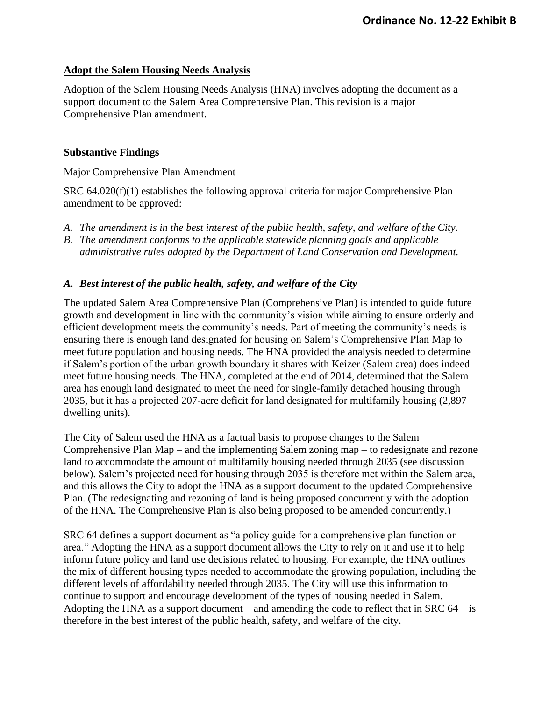#### **Adopt the Salem Housing Needs Analysis**

Adoption of the Salem Housing Needs Analysis (HNA) involves adopting the document as a support document to the Salem Area Comprehensive Plan. This revision is a major Comprehensive Plan amendment.

#### **Substantive Findings**

#### Major Comprehensive Plan Amendment

SRC 64.020(f)(1) establishes the following approval criteria for major Comprehensive Plan amendment to be approved:

- *A. The amendment is in the best interest of the public health, safety, and welfare of the City.*
- *B. The amendment conforms to the applicable statewide planning goals and applicable administrative rules adopted by the Department of Land Conservation and Development.*

### *A. Best interest of the public health, safety, and welfare of the City*

The updated Salem Area Comprehensive Plan (Comprehensive Plan) is intended to guide future growth and development in line with the community's vision while aiming to ensure orderly and efficient development meets the community's needs. Part of meeting the community's needs is ensuring there is enough land designated for housing on Salem's Comprehensive Plan Map to meet future population and housing needs. The HNA provided the analysis needed to determine if Salem's portion of the urban growth boundary it shares with Keizer (Salem area) does indeed meet future housing needs. The HNA, completed at the end of 2014, determined that the Salem area has enough land designated to meet the need for single-family detached housing through 2035, but it has a projected 207-acre deficit for land designated for multifamily housing (2,897 dwelling units).

The City of Salem used the HNA as a factual basis to propose changes to the Salem Comprehensive Plan Map – and the implementing Salem zoning map – to redesignate and rezone land to accommodate the amount of multifamily housing needed through 2035 (see discussion below). Salem's projected need for housing through 2035 is therefore met within the Salem area, and this allows the City to adopt the HNA as a support document to the updated Comprehensive Plan. (The redesignating and rezoning of land is being proposed concurrently with the adoption of the HNA. The Comprehensive Plan is also being proposed to be amended concurrently.)

SRC 64 defines a support document as "a policy guide for a comprehensive plan function or area." Adopting the HNA as a support document allows the City to rely on it and use it to help inform future policy and land use decisions related to housing. For example, the HNA outlines the mix of different housing types needed to accommodate the growing population, including the different levels of affordability needed through 2035. The City will use this information to continue to support and encourage development of the types of housing needed in Salem. Adopting the HNA as a support document – and amending the code to reflect that in SRC  $64 - is$ therefore in the best interest of the public health, safety, and welfare of the city.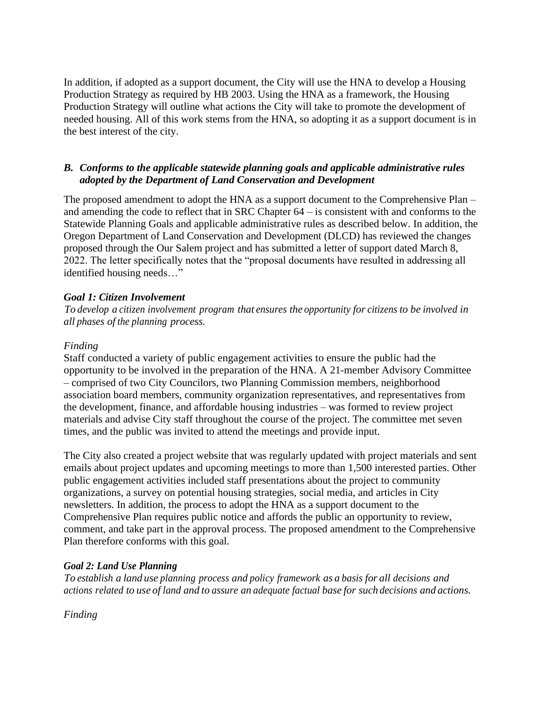In addition, if adopted as a support document, the City will use the HNA to develop a Housing Production Strategy as required by HB 2003. Using the HNA as a framework, the Housing Production Strategy will outline what actions the City will take to promote the development of needed housing. All of this work stems from the HNA, so adopting it as a support document is in the best interest of the city.

# *B. Conforms to the applicable statewide planning goals and applicable administrative rules adopted by the Department of Land Conservation and Development*

The proposed amendment to adopt the HNA as a support document to the Comprehensive Plan – and amending the code to reflect that in SRC Chapter 64 – is consistent with and conforms to the Statewide Planning Goals and applicable administrative rules as described below. In addition, the Oregon Department of Land Conservation and Development (DLCD) has reviewed the changes proposed through the Our Salem project and has submitted a letter of support dated March 8, 2022. The letter specifically notes that the "proposal documents have resulted in addressing all identified housing needs…"

# *Goal 1: Citizen Involvement*

*To develop a citizen involvement program that ensures the opportunity for citizens to be involved in all phases of the planning process.*

### *Finding*

Staff conducted a variety of public engagement activities to ensure the public had the opportunity to be involved in the preparation of the HNA. A 21-member Advisory Committee – comprised of two City Councilors, two Planning Commission members, neighborhood association board members, community organization representatives, and representatives from the development, finance, and affordable housing industries – was formed to review project materials and advise City staff throughout the course of the project. The committee met seven times, and the public was invited to attend the meetings and provide input.

The City also created a project website that was regularly updated with project materials and sent emails about project updates and upcoming meetings to more than 1,500 interested parties. Other public engagement activities included staff presentations about the project to community organizations, a survey on potential housing strategies, social media, and articles in City newsletters. In addition, the process to adopt the HNA as a support document to the Comprehensive Plan requires public notice and affords the public an opportunity to review, comment, and take part in the approval process. The proposed amendment to the Comprehensive Plan therefore conforms with this goal.

# *Goal 2: Land Use Planning*

*To establish a land use planning process and policy framework as a basis for all decisions and actions related to use of land and to assure an adequate factual base for such decisions and actions.*

*Finding*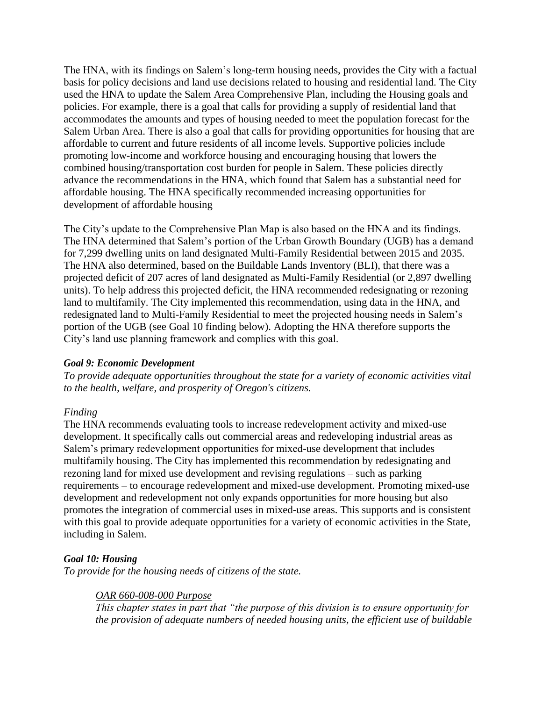The HNA, with its findings on Salem's long-term housing needs, provides the City with a factual basis for policy decisions and land use decisions related to housing and residential land. The City used the HNA to update the Salem Area Comprehensive Plan, including the Housing goals and policies. For example, there is a goal that calls for providing a supply of residential land that accommodates the amounts and types of housing needed to meet the population forecast for the Salem Urban Area. There is also a goal that calls for providing opportunities for housing that are affordable to current and future residents of all income levels. Supportive policies include promoting low-income and workforce housing and encouraging housing that lowers the combined housing/transportation cost burden for people in Salem. These policies directly advance the recommendations in the HNA, which found that Salem has a substantial need for affordable housing. The HNA specifically recommended increasing opportunities for development of affordable housing

The City's update to the Comprehensive Plan Map is also based on the HNA and its findings. The HNA determined that Salem's portion of the Urban Growth Boundary (UGB) has a demand for 7,299 dwelling units on land designated Multi-Family Residential between 2015 and 2035. The HNA also determined, based on the Buildable Lands Inventory (BLI), that there was a projected deficit of 207 acres of land designated as Multi-Family Residential (or 2,897 dwelling units). To help address this projected deficit, the HNA recommended redesignating or rezoning land to multifamily. The City implemented this recommendation, using data in the HNA, and redesignated land to Multi-Family Residential to meet the projected housing needs in Salem's portion of the UGB (see Goal 10 finding below). Adopting the HNA therefore supports the City's land use planning framework and complies with this goal.

#### *Goal 9: Economic Development*

*To provide adequate opportunities throughout the state for a variety of economic activities vital to the health, welfare, and prosperity of Oregon's citizens.*

# *Finding*

The HNA recommends evaluating tools to increase redevelopment activity and mixed-use development. It specifically calls out commercial areas and redeveloping industrial areas as Salem's primary redevelopment opportunities for mixed-use development that includes multifamily housing. The City has implemented this recommendation by redesignating and rezoning land for mixed use development and revising regulations – such as parking requirements – to encourage redevelopment and mixed-use development. Promoting mixed-use development and redevelopment not only expands opportunities for more housing but also promotes the integration of commercial uses in mixed-use areas. This supports and is consistent with this goal to provide adequate opportunities for a variety of economic activities in the State, including in Salem.

# *Goal 10: Housing*

*To provide for the housing needs of citizens of the state.*

# *OAR 660-008-000 Purpose*

*This chapter states in part that "the purpose of this division is to ensure opportunity for the provision of adequate numbers of needed housing units, the efficient use of buildable*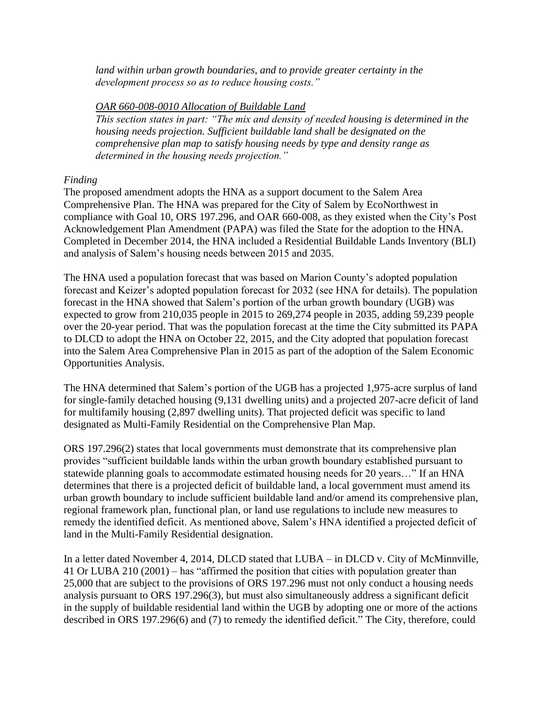*land within urban growth boundaries, and to provide greater certainty in the development process so as to reduce housing costs."*

#### *OAR [660-008-0010](https://secure.sos.state.or.us/oard/viewSingleRule.action?ruleVrsnRsn=175208) Allocation of Buildable Land*

*This section states in part: "The mix and density of needed housing is determined in the housing needs projection. Sufficient buildable land shall be designated on the comprehensive plan map to satisfy housing needs by type and density range as determined in the housing needs projection."*

### *Finding*

The proposed amendment adopts the HNA as a support document to the Salem Area Comprehensive Plan. The HNA was prepared for the City of Salem by EcoNorthwest in compliance with Goal 10, ORS 197.296, and OAR 660-008, as they existed when the City's Post Acknowledgement Plan Amendment (PAPA) was filed the State for the adoption to the HNA. Completed in December 2014, the HNA included a Residential Buildable Lands Inventory (BLI) and analysis of Salem's housing needs between 2015 and 2035.

The HNA used a population forecast that was based on Marion County's adopted population forecast and Keizer's adopted population forecast for 2032 (see HNA for details). The population forecast in the HNA showed that Salem's portion of the urban growth boundary (UGB) was expected to grow from 210,035 people in 2015 to 269,274 people in 2035, adding 59,239 people over the 20-year period. That was the population forecast at the time the City submitted its PAPA to DLCD to adopt the HNA on October 22, 2015, and the City adopted that population forecast into the Salem Area Comprehensive Plan in 2015 as part of the adoption of the Salem Economic Opportunities Analysis.

The HNA determined that Salem's portion of the UGB has a projected 1,975-acre surplus of land for single-family detached housing (9,131 dwelling units) and a projected 207-acre deficit of land for multifamily housing (2,897 dwelling units). That projected deficit was specific to land designated as Multi-Family Residential on the Comprehensive Plan Map.

ORS 197.296(2) states that local governments must demonstrate that its comprehensive plan provides "sufficient buildable lands within the urban growth boundary established pursuant to statewide planning goals to accommodate estimated housing needs for 20 years…" If an HNA determines that there is a projected deficit of buildable land, a local government must amend its urban growth boundary to include sufficient buildable land and/or amend its comprehensive plan, regional framework plan, functional plan, or land use regulations to include new measures to remedy the identified deficit. As mentioned above, Salem's HNA identified a projected deficit of land in the Multi-Family Residential designation.

In a letter dated November 4, 2014, DLCD stated that LUBA – in DLCD v. City of McMinnville, 41 Or LUBA 210 (2001) – has "affirmed the position that cities with population greater than 25,000 that are subject to the provisions of ORS 197.296 must not only conduct a housing needs analysis pursuant to ORS 197.296(3), but must also simultaneously address a significant deficit in the supply of buildable residential land within the UGB by adopting one or more of the actions described in ORS 197.296(6) and (7) to remedy the identified deficit." The City, therefore, could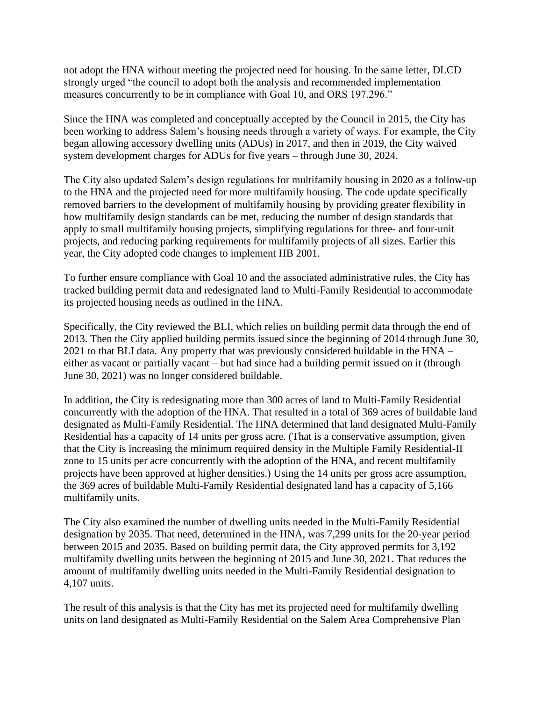not adopt the HNA without meeting the projected need for housing. In the same letter, DLCD strongly urged "the council to adopt both the analysis and recommended implementation measures concurrently to be in compliance with Goal 10, and ORS 197.296."

Since the HNA was completed and conceptually accepted by the Council in 2015, the City has been working to address Salem's housing needs through a variety of ways. For example, the City began allowing accessory dwelling units (ADUs) in 2017, and then in 2019, the City waived system development charges for ADUs for five years – through June 30, 2024.

The City also updated Salem's design regulations for multifamily housing in 2020 as a follow-up to the HNA and the projected need for more multifamily housing. The code update specifically removed barriers to the development of multifamily housing by providing greater flexibility in how multifamily design standards can be met, reducing the number of design standards that apply to small multifamily housing projects, simplifying regulations for three- and four-unit projects, and reducing parking requirements for multifamily projects of all sizes. Earlier this year, the City adopted code changes to implement HB 2001.

To further ensure compliance with Goal 10 and the associated administrative rules, the City has tracked building permit data and redesignated land to Multi-Family Residential to accommodate its projected housing needs as outlined in the HNA.

Specifically, the City reviewed the BLI, which relies on building permit data through the end of 2013. Then the City applied building permits issued since the beginning of 2014 through June 30, 2021 to that BLI data. Any property that was previously considered buildable in the HNA – either as vacant or partially vacant – but had since had a building permit issued on it (through June 30, 2021) was no longer considered buildable.

In addition, the City is redesignating more than 300 acres of land to Multi-Family Residential concurrently with the adoption of the HNA. That resulted in a total of 369 acres of buildable land designated as Multi-Family Residential. The HNA determined that land designated Multi-Family Residential has a capacity of 14 units per gross acre. (That is a conservative assumption, given that the City is increasing the minimum required density in the Multiple Family Residential-II zone to 15 units per acre concurrently with the adoption of the HNA, and recent multifamily projects have been approved at higher densities.) Using the 14 units per gross acre assumption, the 369 acres of buildable Multi-Family Residential designated land has a capacity of 5,166 multifamily units.

The City also examined the number of dwelling units needed in the Multi-Family Residential designation by 2035. That need, determined in the HNA, was 7,299 units for the 20-year period between 2015 and 2035. Based on building permit data, the City approved permits for 3,192 multifamily dwelling units between the beginning of 2015 and June 30, 2021. That reduces the amount of multifamily dwelling units needed in the Multi-Family Residential designation to 4,107 units.

The result of this analysis is that the City has met its projected need for multifamily dwelling units on land designated as Multi-Family Residential on the Salem Area Comprehensive Plan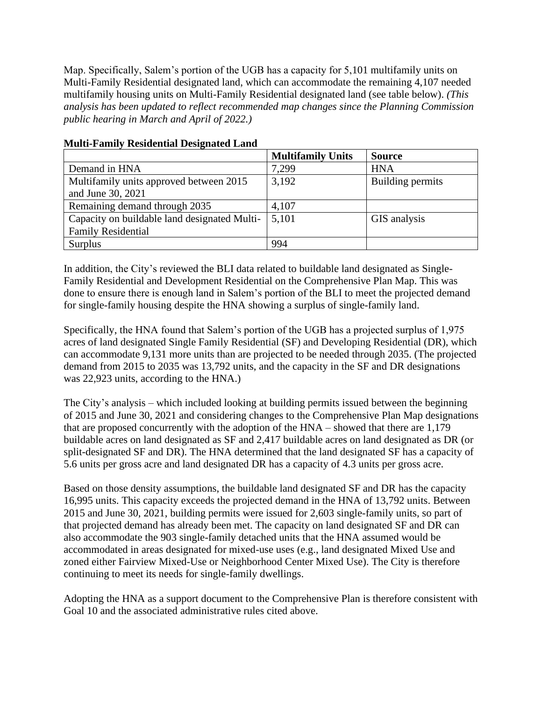Map. Specifically, Salem's portion of the UGB has a capacity for 5,101 multifamily units on Multi-Family Residential designated land, which can accommodate the remaining 4,107 needed multifamily housing units on Multi-Family Residential designated land (see table below). *(This analysis has been updated to reflect recommended map changes since the Planning Commission public hearing in March and April of 2022.)*

|                                                                           | <b>Multifamily Units</b> | <b>Source</b>    |
|---------------------------------------------------------------------------|--------------------------|------------------|
| Demand in HNA                                                             | 7,299                    | <b>HNA</b>       |
| Multifamily units approved between 2015<br>and June 30, 2021              | 3,192                    | Building permits |
| Remaining demand through 2035                                             | 4,107                    |                  |
| Capacity on buildable land designated Multi-<br><b>Family Residential</b> | 5,101                    | GIS analysis     |
| Surplus                                                                   | 994                      |                  |

# **Multi-Family Residential Designated Land**

In addition, the City's reviewed the BLI data related to buildable land designated as Single-Family Residential and Development Residential on the Comprehensive Plan Map. This was done to ensure there is enough land in Salem's portion of the BLI to meet the projected demand for single-family housing despite the HNA showing a surplus of single-family land.

Specifically, the HNA found that Salem's portion of the UGB has a projected surplus of 1,975 acres of land designated Single Family Residential (SF) and Developing Residential (DR), which can accommodate 9,131 more units than are projected to be needed through 2035. (The projected demand from 2015 to 2035 was 13,792 units, and the capacity in the SF and DR designations was 22,923 units, according to the HNA.)

The City's analysis – which included looking at building permits issued between the beginning of 2015 and June 30, 2021 and considering changes to the Comprehensive Plan Map designations that are proposed concurrently with the adoption of the HNA – showed that there are 1,179 buildable acres on land designated as SF and 2,417 buildable acres on land designated as DR (or split-designated SF and DR). The HNA determined that the land designated SF has a capacity of 5.6 units per gross acre and land designated DR has a capacity of 4.3 units per gross acre.

Based on those density assumptions, the buildable land designated SF and DR has the capacity 16,995 units. This capacity exceeds the projected demand in the HNA of 13,792 units. Between 2015 and June 30, 2021, building permits were issued for 2,603 single-family units, so part of that projected demand has already been met. The capacity on land designated SF and DR can also accommodate the 903 single-family detached units that the HNA assumed would be accommodated in areas designated for mixed-use uses (e.g., land designated Mixed Use and zoned either Fairview Mixed-Use or Neighborhood Center Mixed Use). The City is therefore continuing to meet its needs for single-family dwellings.

Adopting the HNA as a support document to the Comprehensive Plan is therefore consistent with Goal 10 and the associated administrative rules cited above.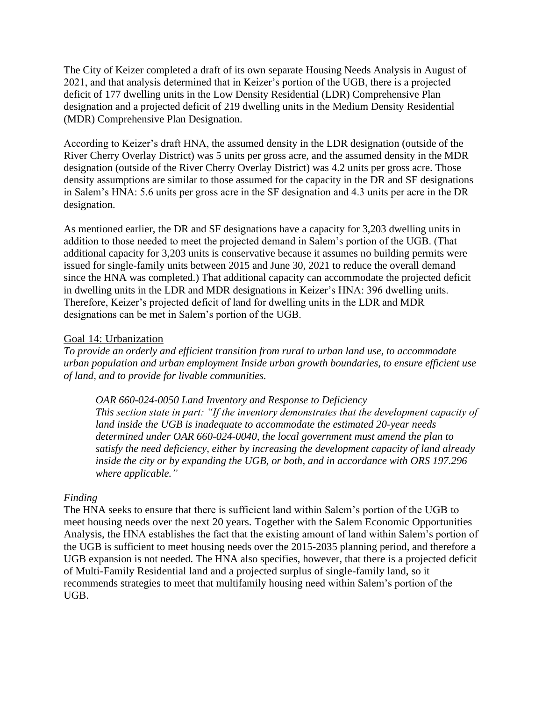The City of Keizer completed a draft of its own separate Housing Needs Analysis in August of 2021, and that analysis determined that in Keizer's portion of the UGB, there is a projected deficit of 177 dwelling units in the Low Density Residential (LDR) Comprehensive Plan designation and a projected deficit of 219 dwelling units in the Medium Density Residential (MDR) Comprehensive Plan Designation.

According to Keizer's draft HNA, the assumed density in the LDR designation (outside of the River Cherry Overlay District) was 5 units per gross acre, and the assumed density in the MDR designation (outside of the River Cherry Overlay District) was 4.2 units per gross acre. Those density assumptions are similar to those assumed for the capacity in the DR and SF designations in Salem's HNA: 5.6 units per gross acre in the SF designation and 4.3 units per acre in the DR designation.

As mentioned earlier, the DR and SF designations have a capacity for 3,203 dwelling units in addition to those needed to meet the projected demand in Salem's portion of the UGB. (That additional capacity for 3,203 units is conservative because it assumes no building permits were issued for single-family units between 2015 and June 30, 2021 to reduce the overall demand since the HNA was completed.) That additional capacity can accommodate the projected deficit in dwelling units in the LDR and MDR designations in Keizer's HNA: 396 dwelling units. Therefore, Keizer's projected deficit of land for dwelling units in the LDR and MDR designations can be met in Salem's portion of the UGB.

#### Goal 14: Urbanization

*To provide an orderly and efficient transition from rural to urban land use, to accommodate urban population and urban employment Inside urban growth boundaries, to ensure efficient use of land, and to provide for livable communities.*

#### *OAR 660-024-0050 Land Inventory and Response to Deficiency*

*This section state in part: "If the inventory demonstrates that the development capacity of land inside the UGB is inadequate to accommodate the estimated 20-year needs determined under OAR 660-024-0040, the local government must amend the plan to satisfy the need deficiency, either by increasing the development capacity of land already inside the city or by expanding the UGB, or both, and in accordance with ORS 197.296 where applicable."*

# *Finding*

The HNA seeks to ensure that there is sufficient land within Salem's portion of the UGB to meet housing needs over the next 20 years. Together with the Salem Economic Opportunities Analysis, the HNA establishes the fact that the existing amount of land within Salem's portion of the UGB is sufficient to meet housing needs over the 2015-2035 planning period, and therefore a UGB expansion is not needed. The HNA also specifies, however, that there is a projected deficit of Multi-Family Residential land and a projected surplus of single-family land, so it recommends strategies to meet that multifamily housing need within Salem's portion of the UGB.